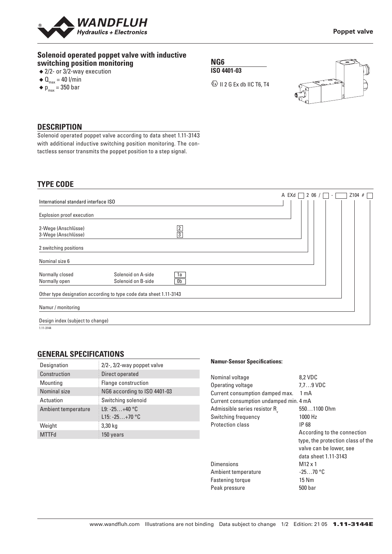

## **Solenoid operated poppet valve with inductive switching position monitoring**

- ◆ 2/2- or 3/2-way execution
- $\triangleleft$  Q<sub>max</sub> = 40 l/min
- $\blacklozenge$  p<sub>max</sub> = 350 bar

**NG6 ISO 4401-03**

 $\textcircled{k}$  II 2 G Ex db IIC T6, T4



## **DESCRIPTION**

Solenoid operated poppet valve according to data sheet 1.11-3143 with additional inductive switching position monitoring. The contactless sensor transmits the poppet position to a step signal.

### **TYPE CODE**

|                                      |                                                                    |                | A EXd | 206/<br>$\sim$ | $Z104$ # |
|--------------------------------------|--------------------------------------------------------------------|----------------|-------|----------------|----------|
| International standard interface ISO |                                                                    |                |       |                |          |
| Explosion proof execution            |                                                                    |                |       |                |          |
| 2-Wege (Anschlüsse)                  |                                                                    |                |       |                |          |
| 3-Wege (Anschlüsse)                  |                                                                    | $\frac{2}{3}$  |       |                |          |
| 2 switching positions                |                                                                    |                |       |                |          |
| Nominal size 6                       |                                                                    |                |       |                |          |
| Normally closed                      | Solenoid on A-side                                                 | 1a             |       |                |          |
| Normally open                        | Solenoid on B-side                                                 | 0 <sub>b</sub> |       |                |          |
|                                      | Other type designation according to type code data sheet 1.11-3143 |                |       |                |          |
| Namur / monitoring                   |                                                                    |                |       |                |          |
| Design index (subject to change)     |                                                                    |                |       |                |          |

 $\frac{1}{1.11 - 3144}$ 

## **GENERAL SPECIFICATIONS**

| Designation         | 2/2-, 3/2-way poppet valve   |
|---------------------|------------------------------|
| Construction        | Direct operated              |
| Mounting            | Flange construction          |
| Nominal size        | NG6 according to ISO 4401-03 |
| Actuation           | Switching solenoid           |
| Ambient temperature | $L9: -25+40 °C$              |
|                     | L15: $-25+70$ °C             |
| Weight              | 3,30 kg                      |
| <b>MTTFd</b>        | 150 years                    |

#### **Namur-Sensor Specifications:**

| Nominal voltage                        | 8,2 VDC                           |
|----------------------------------------|-----------------------------------|
| Operating voltage                      | $7.7\dots9$ VDC                   |
| Current consumption damped max.        | 1 mA                              |
| Current consumption undamped min. 4 mA |                                   |
| Admissible series resistor R           | 5501100 Ohm                       |
| Switching frequency                    | 1000 Hz                           |
| <b>Protection class</b>                | IP 68                             |
|                                        | According to the connection       |
|                                        | type, the protection class of the |
|                                        | valve can be lower, see           |
|                                        | data sheet 1.11-3143              |
| <b>Dimensions</b>                      | $M12 \times 1$                    |
| Ambient temperature                    | $-2570$ °C                        |
| <b>Fastening torque</b>                | 15 Nm                             |
| Peak pressure                          | 500 bar                           |